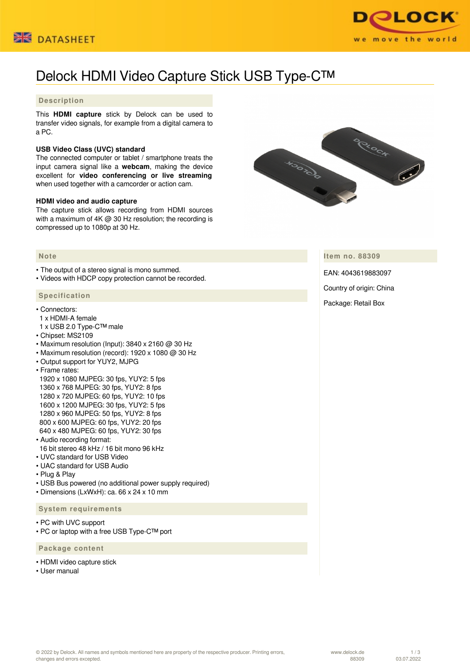



# Delock HDMI Video Capture Stick USB Type-C™

### **Description**

This **HDMI capture** stick by Delock can be used to transfer video signals, for example from a digital camera to a PC.

#### **USB Video Class (UVC) standard**

The connected computer or tablet / smartphone treats the input camera signal like a **webcam**, making the device excellent for **video conferencing or live streaming** when used together with a camcorder or action cam.

#### **HDMI video and audio capture**

The capture stick allows recording from HDMI sources with a maximum of 4K @ 30 Hz resolution; the recording is compressed up to 1080p at 30 Hz.



• The output of a stereo signal is mono summed.

• Videos with HDCP copy protection cannot be recorded.

#### **Specification**

- Connectors:
- 1 x HDMI-A female
- 1 x USB 2.0 Type-C™ male
- Chipset: MS2109
- Maximum resolution (Input):  $3840 \times 2160$  @ 30 Hz
- Maximum resolution (record): 1920 x 1080 @ 30 Hz
- Output support for YUY2, MJPG
- Frame rates:

 1920 x 1080 MJPEG: 30 fps, YUY2: 5 fps 1360 x 768 MJPEG: 30 fps, YUY2: 8 fps 1280 x 720 MJPEG: 60 fps, YUY2: 10 fps 1600 x 1200 MJPEG: 30 fps, YUY2: 5 fps 1280 x 960 MJPEG: 50 fps, YUY2: 8 fps 800 x 600 MJPEG: 60 fps, YUY2: 20 fps 640 x 480 MJPEG: 60 fps, YUY2: 30 fps

- Audio recording format:
- 16 bit stereo 48 kHz / 16 bit mono 96 kHz
- UVC standard for USB Video
- UAC standard for USB Audio
- Plug & Play
- USB Bus powered (no additional power supply required)
- Dimensions (LxWxH): ca. 66 x 24 x 10 mm

#### **System requirements**

- PC with UVC support
- PC or laptop with a free USB Type-C™ port

 **Package content**

- HDMI video capture stick
- Heer manual

HOOTOCO CHOCH

**Item no. 88309**

EAN: 4043619883097

Country of origin: China

Package: Retail Box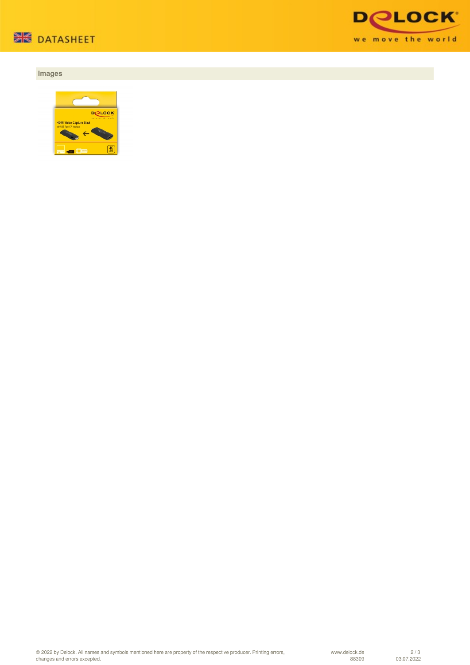

## **Images**